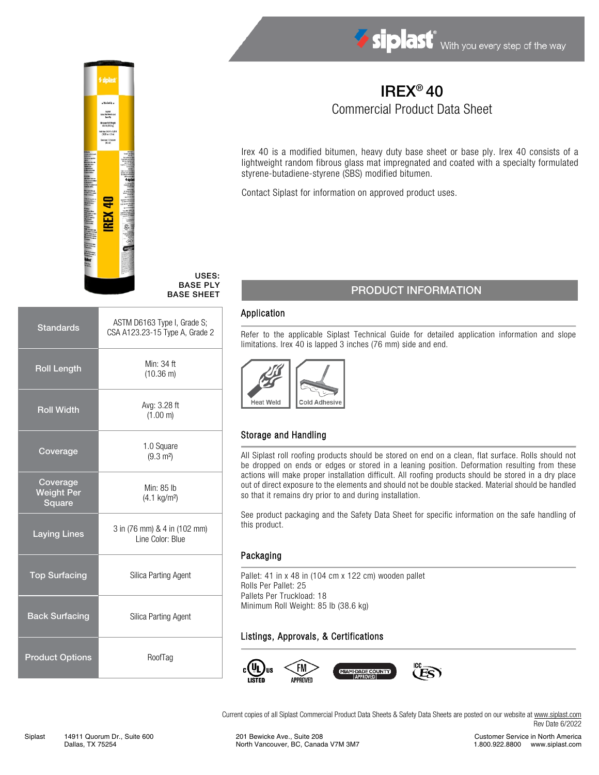



#### USES: BASE PLY BASE SHEET

| <b>Standards</b>                        | ASTM D6163 Type I, Grade S;<br>CSA A123.23-15 Type A, Grade 2 |  |
|-----------------------------------------|---------------------------------------------------------------|--|
| <b>Roll Length</b>                      | Min: 34 ft<br>$(10.36)$ m)                                    |  |
| <b>Roll Width</b>                       | Avg: 3.28 ft<br>$(1.00 \text{ m})$                            |  |
| Coverage                                | 1.0 Square<br>$(9.3 \text{ m}^2)$                             |  |
| Coverage<br><b>Weight Per</b><br>Square | Min: 85 lb<br>$(4.1 \text{ kg/m}^2)$                          |  |
| <b>Laying Lines</b>                     | 3 in (76 mm) & 4 in (102 mm)<br>Line Color: Blue              |  |
| <b>Top Surfacing</b>                    | Silica Parting Agent                                          |  |
| <b>Back Surfacing</b>                   | Silica Parting Agent                                          |  |
| <b>Product Options</b>                  | RoofTag                                                       |  |
|                                         |                                                               |  |

# IREX® 40 Commercial Product Data Sheet

Irex 40 is a modified bitumen, heavy duty base sheet or base ply. Irex 40 consists of a lightweight random fibrous glass mat impregnated and coated with a specialty formulated styrene-butadiene-styrene (SBS) modified bitumen.

Contact Siplast for information on approved product uses.

## PRODUCT INFORMATION

#### Application

Refer to the applicable Siplast Technical Guide for detailed application information and slope limitations. Irex 40 is lapped 3 inches (76 mm) side and end.



## Storage and Handling

All Siplast roll roofing products should be stored on end on a clean, flat surface. Rolls should not be dropped on ends or edges or stored in a leaning position. Deformation resulting from these actions will make proper installation difficult. All roofing products should be stored in a dry place out of direct exposure to the elements and should not be double stacked. Material should be handled so that it remains dry prior to and during installation.

See product packaging and the Safety Data Sheet for specific information on the safe handling of this product.

#### Packaging

Pallet: 41 in x 48 in (104 cm x 122 cm) wooden pallet Rolls Per Pallet: 25 Pallets Per Truckload: 18 Minimum Roll Weight: 85 lb (38.6 kg)

#### Listings, Approvals, & Certifications



Current copies of all Siplast Commercial Product Data Sheets & Safety Data Sheets are posted on our website a[t www.siplast.com](http://www.siplast.com/) Rev Date 6/2022